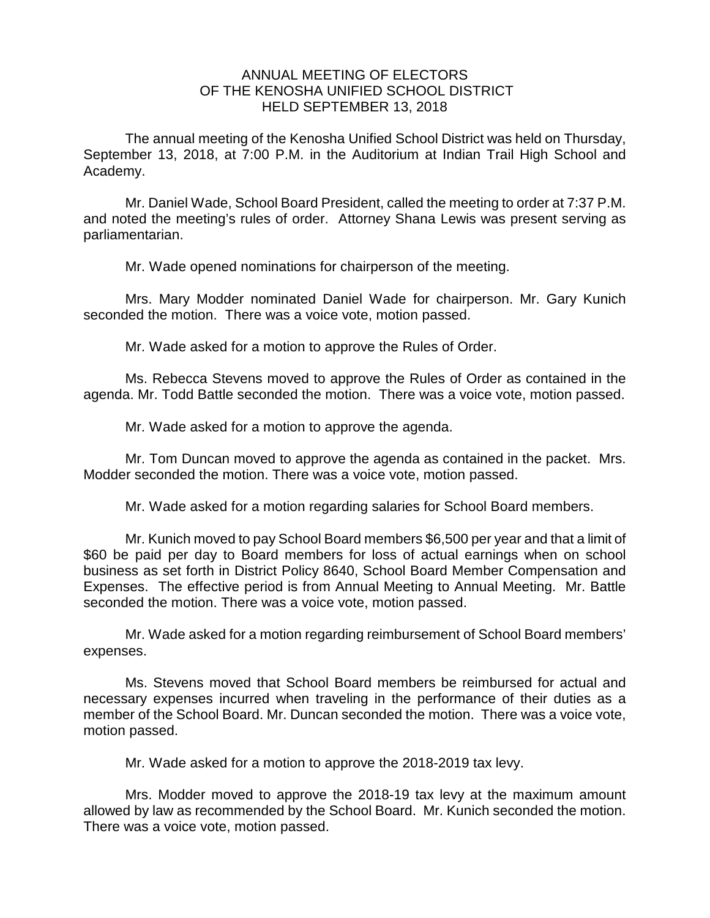## ANNUAL MEETING OF ELECTORS OF THE KENOSHA UNIFIED SCHOOL DISTRICT HELD SEPTEMBER 13, 2018

The annual meeting of the Kenosha Unified School District was held on Thursday, September 13, 2018, at 7:00 P.M. in the Auditorium at Indian Trail High School and Academy.

Mr. Daniel Wade, School Board President, called the meeting to order at 7:37 P.M. and noted the meeting's rules of order. Attorney Shana Lewis was present serving as parliamentarian.

Mr. Wade opened nominations for chairperson of the meeting.

Mrs. Mary Modder nominated Daniel Wade for chairperson. Mr. Gary Kunich seconded the motion. There was a voice vote, motion passed.

Mr. Wade asked for a motion to approve the Rules of Order.

Ms. Rebecca Stevens moved to approve the Rules of Order as contained in the agenda. Mr. Todd Battle seconded the motion. There was a voice vote, motion passed.

Mr. Wade asked for a motion to approve the agenda.

Mr. Tom Duncan moved to approve the agenda as contained in the packet. Mrs. Modder seconded the motion. There was a voice vote, motion passed.

Mr. Wade asked for a motion regarding salaries for School Board members.

Mr. Kunich moved to pay School Board members \$6,500 per year and that a limit of \$60 be paid per day to Board members for loss of actual earnings when on school business as set forth in District Policy 8640, School Board Member Compensation and Expenses. The effective period is from Annual Meeting to Annual Meeting. Mr. Battle seconded the motion. There was a voice vote, motion passed.

Mr. Wade asked for a motion regarding reimbursement of School Board members' expenses.

Ms. Stevens moved that School Board members be reimbursed for actual and necessary expenses incurred when traveling in the performance of their duties as a member of the School Board. Mr. Duncan seconded the motion. There was a voice vote, motion passed.

Mr. Wade asked for a motion to approve the 2018-2019 tax levy.

Mrs. Modder moved to approve the 2018-19 tax levy at the maximum amount allowed by law as recommended by the School Board. Mr. Kunich seconded the motion. There was a voice vote, motion passed.